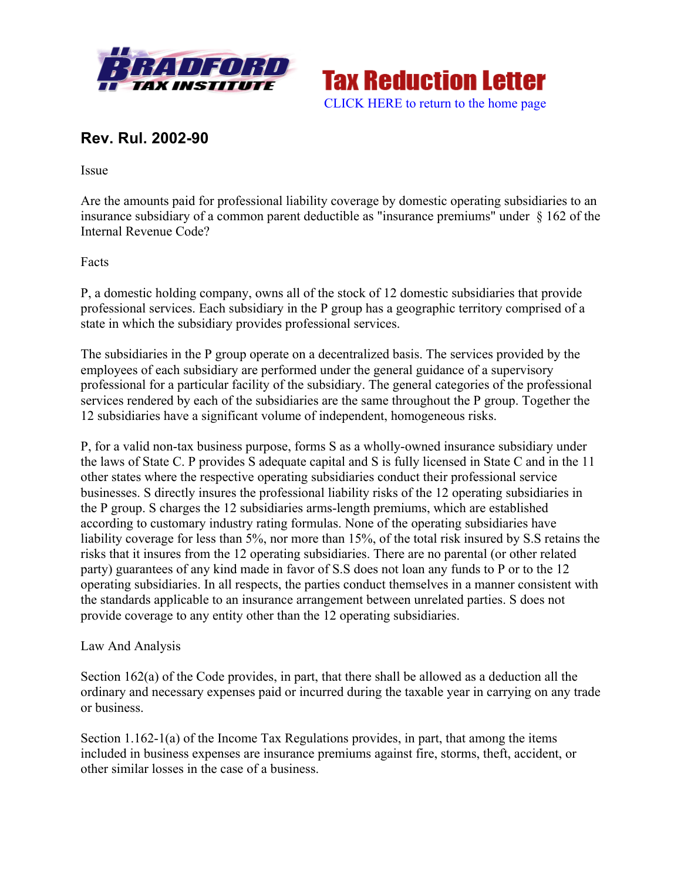



## **Rev. Rul. 2002-90**

Issue

Are the amounts paid for professional liability coverage by domestic operating subsidiaries to an insurance subsidiary of a common parent deductible as "insurance premiums" under § 162 of the Internal Revenue Code?

Facts

P, a domestic holding company, owns all of the stock of 12 domestic subsidiaries that provide professional services. Each subsidiary in the P group has a geographic territory comprised of a state in which the subsidiary provides professional services.

The subsidiaries in the P group operate on a decentralized basis. The services provided by the employees of each subsidiary are performed under the general guidance of a supervisory professional for a particular facility of the subsidiary. The general categories of the professional services rendered by each of the subsidiaries are the same throughout the P group. Together the 12 subsidiaries have a significant volume of independent, homogeneous risks.

P, for a valid non-tax business purpose, forms S as a wholly-owned insurance subsidiary under the laws of State C. P provides S adequate capital and S is fully licensed in State C and in the 11 other states where the respective operating subsidiaries conduct their professional service businesses. S directly insures the professional liability risks of the 12 operating subsidiaries in the P group. S charges the 12 subsidiaries arms-length premiums, which are established according to customary industry rating formulas. None of the operating subsidiaries have liability coverage for less than 5%, nor more than 15%, of the total risk insured by S.S retains the risks that it insures from the 12 operating subsidiaries. There are no parental (or other related party) guarantees of any kind made in favor of S.S does not loan any funds to P or to the 12 operating subsidiaries. In all respects, the parties conduct themselves in a manner consistent with the standards applicable to an insurance arrangement between unrelated parties. S does not provide coverage to any entity other than the 12 operating subsidiaries.

## Law And Analysis

Section 162(a) of the Code provides, in part, that there shall be allowed as a deduction all the ordinary and necessary expenses paid or incurred during the taxable year in carrying on any trade or business.

Section 1.162-1(a) of the Income Tax Regulations provides, in part, that among the items included in business expenses are insurance premiums against fire, storms, theft, accident, or other similar losses in the case of a business.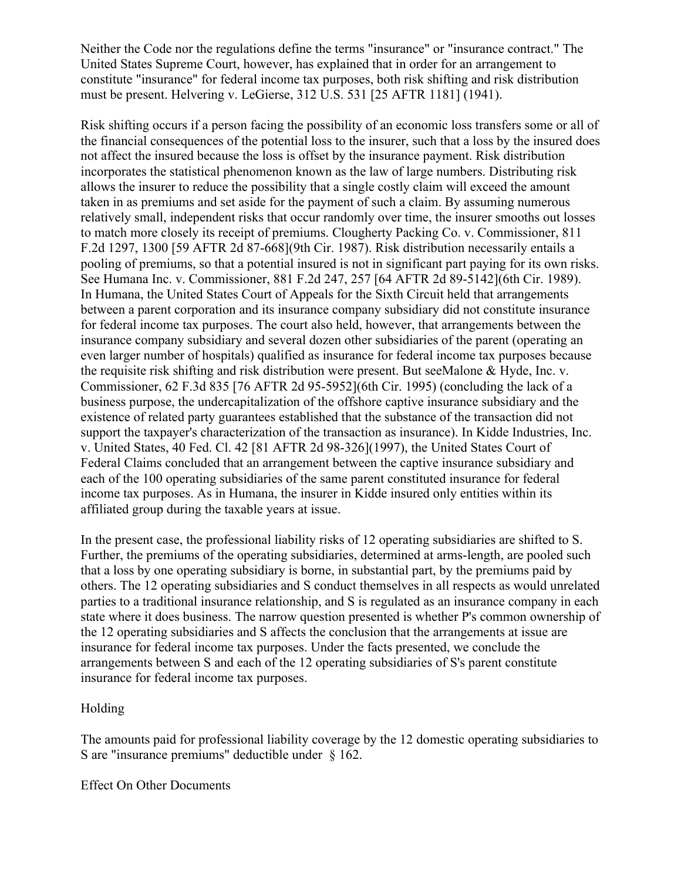Neither the Code nor the regulations define the terms "insurance" or "insurance contract." The United States Supreme Court, however, has explained that in order for an arrangement to constitute "insurance" for federal income tax purposes, both risk shifting and risk distribution must be present. Helvering v. LeGierse, 312 U.S. 531 [25 AFTR 1181] (1941).

Risk shifting occurs if a person facing the possibility of an economic loss transfers some or all of the financial consequences of the potential loss to the insurer, such that a loss by the insured does not affect the insured because the loss is offset by the insurance payment. Risk distribution incorporates the statistical phenomenon known as the law of large numbers. Distributing risk allows the insurer to reduce the possibility that a single costly claim will exceed the amount taken in as premiums and set aside for the payment of such a claim. By assuming numerous relatively small, independent risks that occur randomly over time, the insurer smooths out losses to match more closely its receipt of premiums. Clougherty Packing Co. v. Commissioner, 811 F.2d 1297, 1300 [59 AFTR 2d 87-668](9th Cir. 1987). Risk distribution necessarily entails a pooling of premiums, so that a potential insured is not in significant part paying for its own risks. See Humana Inc. v. Commissioner, 881 F.2d 247, 257 [64 AFTR 2d 89-5142](6th Cir. 1989). In Humana, the United States Court of Appeals for the Sixth Circuit held that arrangements between a parent corporation and its insurance company subsidiary did not constitute insurance for federal income tax purposes. The court also held, however, that arrangements between the insurance company subsidiary and several dozen other subsidiaries of the parent (operating an even larger number of hospitals) qualified as insurance for federal income tax purposes because the requisite risk shifting and risk distribution were present. But seeMalone & Hyde, Inc. v. Commissioner, 62 F.3d 835 [76 AFTR 2d 95-5952](6th Cir. 1995) (concluding the lack of a business purpose, the undercapitalization of the offshore captive insurance subsidiary and the existence of related party guarantees established that the substance of the transaction did not support the taxpayer's characterization of the transaction as insurance). In Kidde Industries, Inc. v. United States, 40 Fed. Cl. 42 [81 AFTR 2d 98-326](1997), the United States Court of Federal Claims concluded that an arrangement between the captive insurance subsidiary and each of the 100 operating subsidiaries of the same parent constituted insurance for federal income tax purposes. As in Humana, the insurer in Kidde insured only entities within its affiliated group during the taxable years at issue.

In the present case, the professional liability risks of 12 operating subsidiaries are shifted to S. Further, the premiums of the operating subsidiaries, determined at arms-length, are pooled such that a loss by one operating subsidiary is borne, in substantial part, by the premiums paid by others. The 12 operating subsidiaries and S conduct themselves in all respects as would unrelated parties to a traditional insurance relationship, and S is regulated as an insurance company in each state where it does business. The narrow question presented is whether P's common ownership of the 12 operating subsidiaries and S affects the conclusion that the arrangements at issue are insurance for federal income tax purposes. Under the facts presented, we conclude the arrangements between S and each of the 12 operating subsidiaries of S's parent constitute insurance for federal income tax purposes.

## Holding

The amounts paid for professional liability coverage by the 12 domestic operating subsidiaries to S are "insurance premiums" deductible under § 162.

Effect On Other Documents